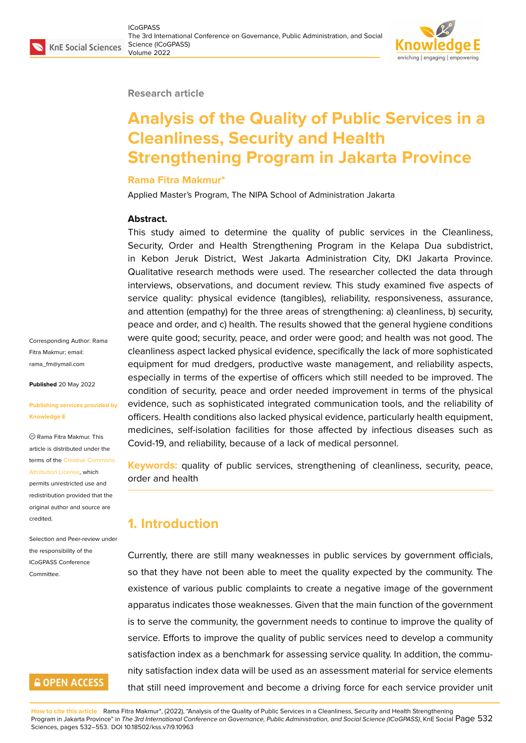#### **Research article**

# **Analysis of the Quality of Public Services in a Cleanliness, Security and Health Strengthening Program in Jakarta Province**

#### **Rama Fitra Makmur\***

Applied Master's Program, The NIPA School of Administration Jakarta

#### **Abstract.**

This study aimed to determine the quality of public services in the Cleanliness, Security, Order and Health Strengthening Program in the Kelapa Dua subdistrict, in Kebon Jeruk District, West Jakarta Administration City, DKI Jakarta Province. Qualitative research methods were used. The researcher collected the data through interviews, observations, and document review. This study examined five aspects of service quality: physical evidence (tangibles), reliability, responsiveness, assurance, and attention (empathy) for the three areas of strengthening: a) cleanliness, b) security, peace and order, and c) health. The results showed that the general hygiene conditions were quite good; security, peace, and order were good; and health was not good. The cleanliness aspect lacked physical evidence, specifically the lack of more sophisticated equipment for mud dredgers, productive waste management, and reliability aspects, especially in terms of the expertise of officers which still needed to be improved. The condition of security, peace and order needed improvement in terms of the physical evidence, such as sophisticated integrated communication tools, and the reliability of officers. Health conditions also lacked physical evidence, particularly health equipment, medicines, self-isolation facilities for those affected by infectious diseases such as Covid-19, and reliability, because of a lack of medical personnel.

**Keywords:** quality of public services, strengthening of cleanliness, security, peace, order and health

# **1. Introduction**

Currently, there are still many weaknesses in public services by government officials, so that they have not been able to meet the quality expected by the community. The existence of various public complaints to create a negative image of the government apparatus indicates those weaknesses. Given that the main function of the government is to serve the community, the government needs to continue to improve the quality of service. Efforts to improve the quality of public services need to develop a community satisfaction index as a benchmark for assessing service quality. In addition, the community satisfaction index data will be used as an assessment material for service elements that still need improvement and become a driving force for each service provider unit

**How to cite this article**: Rama Fitra Makmur\*, (2022), "Analysis of the Quality of Public Services in a Cleanliness, Security and Health Strengthening Program in Jakarta Province" in *The 3rd International Conference on Governance, Public Administration, and Social Science (ICoGPASS)*, KnE Social Page 532 Sciences, pages 532–553. DOI 10.18502/kss.v7i9.10963

Corresponding Author: Rama Fitra Makmur; email: rama\_fm@ymail.com

**Published** 20 May 2022

#### **[Publishing services p](mailto:rama_fm@ymail.com)rovided by Knowledge E**

Rama Fitra Makmur. This article is distributed under the terms of the Creative Commons Attribution License, which

permits unrestricted use and redistribution provided that the original auth[or and source are](https://creativecommons.org/licenses/by/4.0/) [credited.](https://creativecommons.org/licenses/by/4.0/)

Selection and Peer-review under the responsibility of the ICoGPASS Conference Committee.

# **GOPEN ACCESS**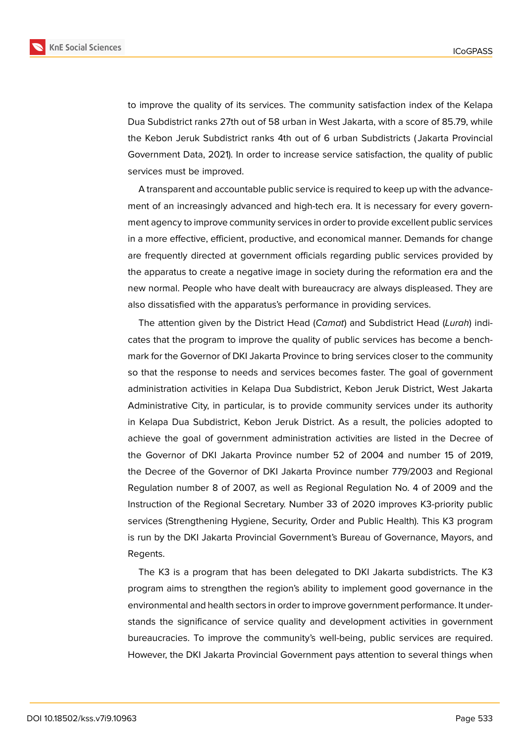

to improve the quality of its services. The community satisfaction index of the Kelapa Dua Subdistrict ranks 27th out of 58 urban in West Jakarta, with a score of 85.79, while the Kebon Jeruk Subdistrict ranks 4th out of 6 urban Subdistricts ( Jakarta Provincial Government Data, 2021). In order to increase service satisfaction, the quality of public services must be improved.

A transparent and accountable public service is required to keep up with the advancement of an increasingly advanced and high-tech era. It is necessary for every government agency to improve community services in order to provide excellent public services in a more effective, efficient, productive, and economical manner. Demands for change are frequently directed at government officials regarding public services provided by the apparatus to create a negative image in society during the reformation era and the new normal. People who have dealt with bureaucracy are always displeased. They are also dissatisfied with the apparatus's performance in providing services.

The attention given by the District Head (*Camat*) and Subdistrict Head (*Lurah*) indicates that the program to improve the quality of public services has become a benchmark for the Governor of DKI Jakarta Province to bring services closer to the community so that the response to needs and services becomes faster. The goal of government administration activities in Kelapa Dua Subdistrict, Kebon Jeruk District, West Jakarta Administrative City, in particular, is to provide community services under its authority in Kelapa Dua Subdistrict, Kebon Jeruk District. As a result, the policies adopted to achieve the goal of government administration activities are listed in the Decree of the Governor of DKI Jakarta Province number 52 of 2004 and number 15 of 2019, the Decree of the Governor of DKI Jakarta Province number 779/2003 and Regional Regulation number 8 of 2007, as well as Regional Regulation No. 4 of 2009 and the Instruction of the Regional Secretary. Number 33 of 2020 improves K3-priority public services (Strengthening Hygiene, Security, Order and Public Health). This K3 program is run by the DKI Jakarta Provincial Government's Bureau of Governance, Mayors, and Regents.

The K3 is a program that has been delegated to DKI Jakarta subdistricts. The K3 program aims to strengthen the region's ability to implement good governance in the environmental and health sectors in order to improve government performance. It understands the significance of service quality and development activities in government bureaucracies. To improve the community's well-being, public services are required. However, the DKI Jakarta Provincial Government pays attention to several things when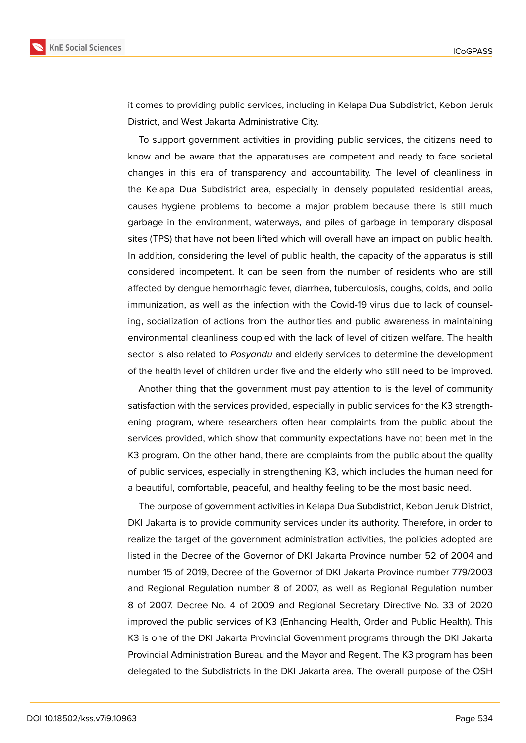

it comes to providing public services, including in Kelapa Dua Subdistrict, Kebon Jeruk District, and West Jakarta Administrative City.

To support government activities in providing public services, the citizens need to know and be aware that the apparatuses are competent and ready to face societal changes in this era of transparency and accountability. The level of cleanliness in the Kelapa Dua Subdistrict area, especially in densely populated residential areas, causes hygiene problems to become a major problem because there is still much garbage in the environment, waterways, and piles of garbage in temporary disposal sites (TPS) that have not been lifted which will overall have an impact on public health. In addition, considering the level of public health, the capacity of the apparatus is still considered incompetent. It can be seen from the number of residents who are still affected by dengue hemorrhagic fever, diarrhea, tuberculosis, coughs, colds, and polio immunization, as well as the infection with the Covid-19 virus due to lack of counseling, socialization of actions from the authorities and public awareness in maintaining environmental cleanliness coupled with the lack of level of citizen welfare. The health sector is also related to *Posyandu* and elderly services to determine the development of the health level of children under five and the elderly who still need to be improved.

Another thing that the government must pay attention to is the level of community satisfaction with the services provided, especially in public services for the K3 strengthening program, where researchers often hear complaints from the public about the services provided, which show that community expectations have not been met in the K3 program. On the other hand, there are complaints from the public about the quality of public services, especially in strengthening K3, which includes the human need for a beautiful, comfortable, peaceful, and healthy feeling to be the most basic need.

The purpose of government activities in Kelapa Dua Subdistrict, Kebon Jeruk District, DKI Jakarta is to provide community services under its authority. Therefore, in order to realize the target of the government administration activities, the policies adopted are listed in the Decree of the Governor of DKI Jakarta Province number 52 of 2004 and number 15 of 2019, Decree of the Governor of DKI Jakarta Province number 779/2003 and Regional Regulation number 8 of 2007, as well as Regional Regulation number 8 of 2007. Decree No. 4 of 2009 and Regional Secretary Directive No. 33 of 2020 improved the public services of K3 (Enhancing Health, Order and Public Health). This K3 is one of the DKI Jakarta Provincial Government programs through the DKI Jakarta Provincial Administration Bureau and the Mayor and Regent. The K3 program has been delegated to the Subdistricts in the DKI Jakarta area. The overall purpose of the OSH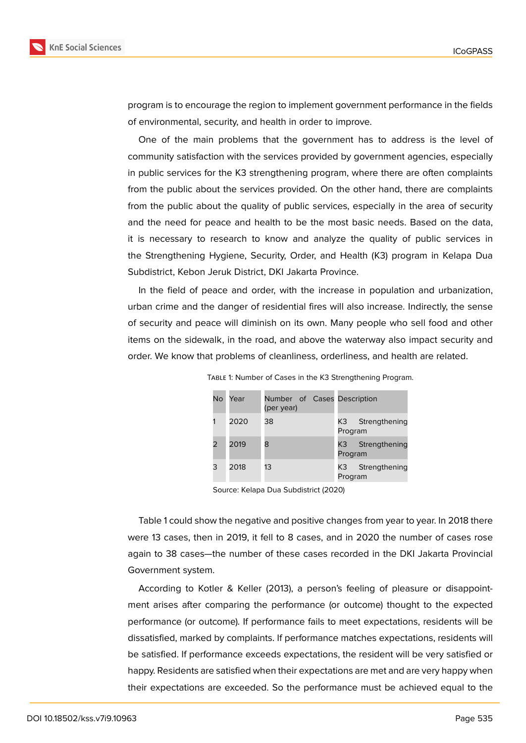

program is to encourage the region to implement government performance in the fields of environmental, security, and health in order to improve.

One of the main problems that the government has to address is the level of community satisfaction with the services provided by government agencies, especially in public services for the K3 strengthening program, where there are often complaints from the public about the services provided. On the other hand, there are complaints from the public about the quality of public services, especially in the area of security and the need for peace and health to be the most basic needs. Based on the data, it is necessary to research to know and analyze the quality of public services in the Strengthening Hygiene, Security, Order, and Health (K3) program in Kelapa Dua Subdistrict, Kebon Jeruk District, DKI Jakarta Province.

In the field of peace and order, with the increase in population and urbanization, urban crime and the danger of residential fires will also increase. Indirectly, the sense of security and peace will diminish on its own. Many people who sell food and other items on the sidewalk, in the road, and above the waterway also impact security and order. We know that problems of cleanliness, orderliness, and health are related.

| No. | Year | Number of Cases Description<br>(per year) |                                  |
|-----|------|-------------------------------------------|----------------------------------|
|     | 2020 | 38                                        | Strengthening<br>K3 -<br>Program |
|     | 2019 | 8                                         | Strengthening<br>K3 -<br>Program |
| 3   | 2018 | 13                                        | Strengthening<br>K3 I<br>Program |

TABLE 1: Number of Cases in the K3 Strengthening Program.

Source: Kelapa Dua Subdistrict (2020)

Table 1 could show the negative and positive changes from year to year. In 2018 there were 13 cases, then in 2019, it fell to 8 cases, and in 2020 the number of cases rose again to 38 cases—the number of these cases recorded in the DKI Jakarta Provincial Government system.

According to Kotler & Keller (2013), a person's feeling of pleasure or disappointment arises after comparing the performance (or outcome) thought to the expected performance (or outcome). If performance fails to meet expectations, residents will be dissatisfied, marked by complaints. If performance matches expectations, residents will be satisfied. If performance exceeds expectations, the resident will be very satisfied or happy. Residents are satisfied when their expectations are met and are very happy when their expectations are exceeded. So the performance must be achieved equal to the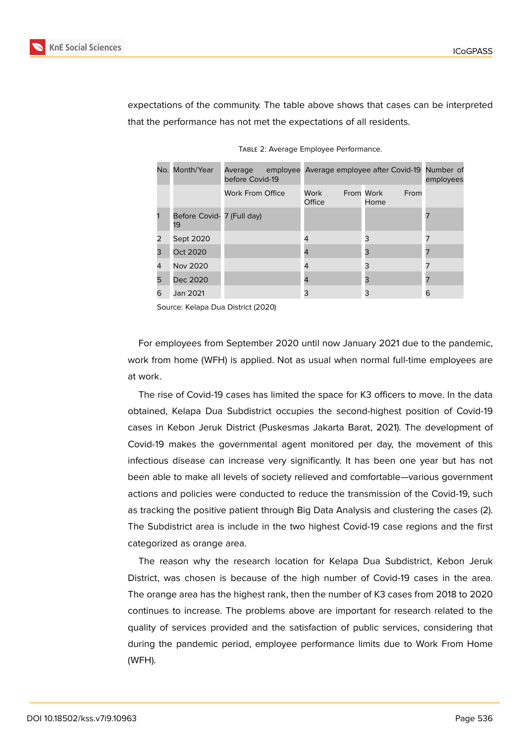

expectations of the community. The table above shows that cases can be interpreted that the performance has not met the expectations of all residents.

|   | No. Month/Year                   | Average<br>before Covid-19 | employee Average employee after Covid-19 Number of |                           | employees |
|---|----------------------------------|----------------------------|----------------------------------------------------|---------------------------|-----------|
|   |                                  | <b>Work From Office</b>    | Work<br>Office                                     | From Work<br>From<br>Home |           |
|   | Before Covid- 7 (Full day)<br>19 |                            |                                                    |                           |           |
| 2 | Sept 2020                        |                            | 4                                                  | 3                         |           |
| 3 | Oct 2020                         |                            | 4                                                  | 3                         |           |
| 4 | Nov 2020                         |                            | 4                                                  | 3                         |           |
| 5 | Dec 2020                         |                            | 4                                                  | 3                         |           |
| 6 | Jan 2021                         |                            | 3                                                  | 3                         | 6         |

Table 2: Average Employee Performance.

Source: Kelapa Dua District (2020)

For employees from September 2020 until now January 2021 due to the pandemic, work from home (WFH) is applied. Not as usual when normal full-time employees are at work.

The rise of Covid-19 cases has limited the space for K3 officers to move. In the data obtained, Kelapa Dua Subdistrict occupies the second-highest position of Covid-19 cases in Kebon Jeruk District (Puskesmas Jakarta Barat, 2021). The development of Covid-19 makes the governmental agent monitored per day, the movement of this infectious disease can increase very significantly. It has been one year but has not been able to make all levels of society relieved and comfortable—various government actions and policies were conducted to reduce the transmission of the Covid-19, such as tracking the positive patient through Big Data Analysis and clustering the cases (2). The Subdistrict area is include in the two highest Covid-19 case regions and the first categorized as orange area.

The reason why the research location for Kelapa Dua Subdistrict, Kebon Jeruk District, was chosen is because of the high number of Covid-19 cases in the area. The orange area has the highest rank, then the number of K3 cases from 2018 to 2020 continues to increase. The problems above are important for research related to the quality of services provided and the satisfaction of public services, considering that during the pandemic period, employee performance limits due to Work From Home (WFH).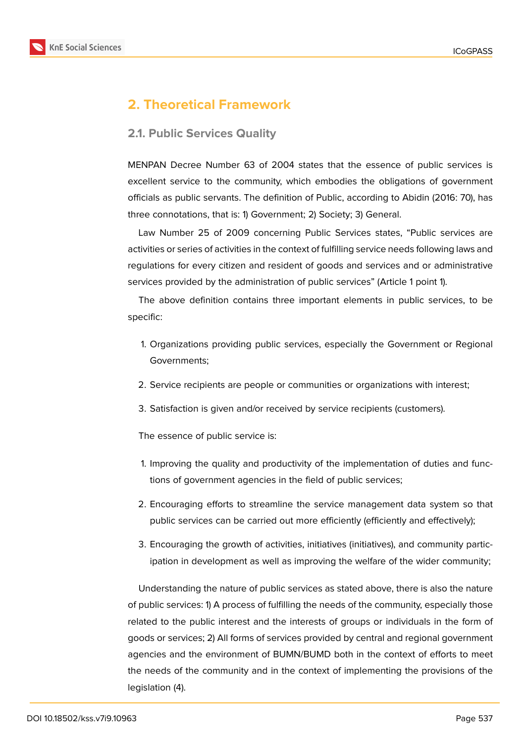

# **2. Theoretical Framework**

### **2.1. Public Services Quality**

MENPAN Decree Number 63 of 2004 states that the essence of public services is excellent service to the community, which embodies the obligations of government officials as public servants. The definition of Public, according to Abidin (2016: 70), has three connotations, that is: 1) Government; 2) Society; 3) General.

Law Number 25 of 2009 concerning Public Services states, "Public services are activities or series of activities in the context of fulfilling service needs following laws and regulations for every citizen and resident of goods and services and or administrative services provided by the administration of public services" (Article 1 point 1).

The above definition contains three important elements in public services, to be specific:

- 1. Organizations providing public services, especially the Government or Regional Governments;
- 2. Service recipients are people or communities or organizations with interest;
- 3. Satisfaction is given and/or received by service recipients (customers).

The essence of public service is:

- 1. Improving the quality and productivity of the implementation of duties and functions of government agencies in the field of public services;
- 2. Encouraging efforts to streamline the service management data system so that public services can be carried out more efficiently (efficiently and effectively);
- 3. Encouraging the growth of activities, initiatives (initiatives), and community participation in development as well as improving the welfare of the wider community;

Understanding the nature of public services as stated above, there is also the nature of public services: 1) A process of fulfilling the needs of the community, especially those related to the public interest and the interests of groups or individuals in the form of goods or services; 2) All forms of services provided by central and regional government agencies and the environment of BUMN/BUMD both in the context of efforts to meet the needs of the community and in the context of implementing the provisions of the legislation (4).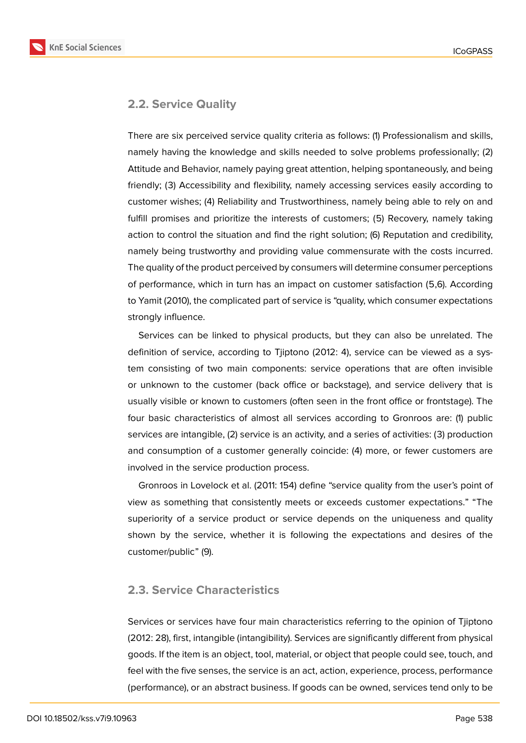**KnE Social Sciences** 



### **2.2. Service Quality**

There are six perceived service quality criteria as follows: (1) Professionalism and skills, namely having the knowledge and skills needed to solve problems professionally; (2) Attitude and Behavior, namely paying great attention, helping spontaneously, and being friendly; (3) Accessibility and flexibility, namely accessing services easily according to customer wishes; (4) Reliability and Trustworthiness, namely being able to rely on and fulfill promises and prioritize the interests of customers; (5) Recovery, namely taking action to control the situation and find the right solution; (6) Reputation and credibility, namely being trustworthy and providing value commensurate with the costs incurred. The quality of the product perceived by consumers will determine consumer perceptions of performance, which in turn has an impact on customer satisfaction (5,6). According to Yamit (2010), the complicated part of service is "quality, which consumer expectations strongly influence.

Services can be linked to physical products, but they can also be unrelated. The definition of service, according to Tjiptono (2012: 4), service can be viewed as a system consisting of two main components: service operations that are often invisible or unknown to the customer (back office or backstage), and service delivery that is usually visible or known to customers (often seen in the front office or frontstage). The four basic characteristics of almost all services according to Gronroos are: (1) public services are intangible, (2) service is an activity, and a series of activities: (3) production and consumption of a customer generally coincide: (4) more, or fewer customers are involved in the service production process.

Gronroos in Lovelock et al. (2011: 154) define "service quality from the user's point of view as something that consistently meets or exceeds customer expectations." "The superiority of a service product or service depends on the uniqueness and quality shown by the service, whether it is following the expectations and desires of the customer/public" (9).

### **2.3. Service Characteristics**

Services or services have four main characteristics referring to the opinion of Tjiptono (2012: 28), first, intangible (intangibility). Services are significantly different from physical goods. If the item is an object, tool, material, or object that people could see, touch, and feel with the five senses, the service is an act, action, experience, process, performance (performance), or an abstract business. If goods can be owned, services tend only to be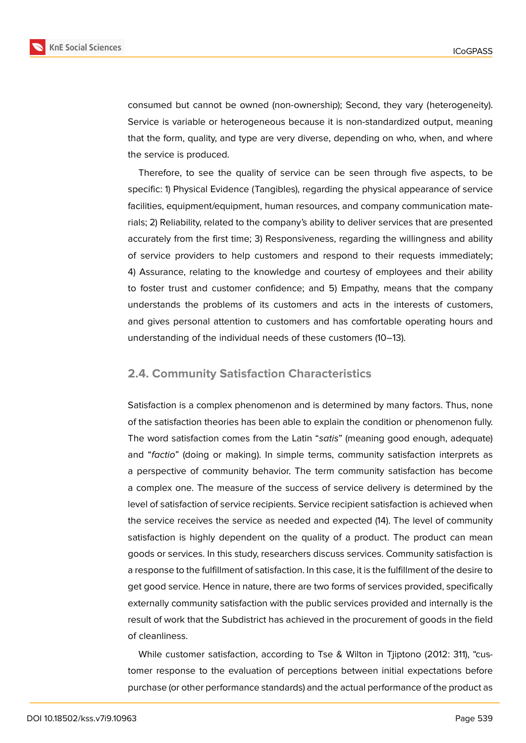

consumed but cannot be owned (non-ownership); Second, they vary (heterogeneity). Service is variable or heterogeneous because it is non-standardized output, meaning that the form, quality, and type are very diverse, depending on who, when, and where the service is produced.

Therefore, to see the quality of service can be seen through five aspects, to be specific: 1) Physical Evidence (Tangibles), regarding the physical appearance of service facilities, equipment/equipment, human resources, and company communication materials; 2) Reliability, related to the company's ability to deliver services that are presented accurately from the first time; 3) Responsiveness, regarding the willingness and ability of service providers to help customers and respond to their requests immediately; 4) Assurance, relating to the knowledge and courtesy of employees and their ability to foster trust and customer confidence; and 5) Empathy, means that the company understands the problems of its customers and acts in the interests of customers, and gives personal attention to customers and has comfortable operating hours and understanding of the individual needs of these customers (10–13).

### **2.4. Community Satisfaction Characteristics**

Satisfaction is a complex phenomenon and is determined by many factors. Thus, none of the satisfaction theories has been able to explain the condition or phenomenon fully. The word satisfaction comes from the Latin "*satis*" (meaning good enough, adequate) and "*factio*" (doing or making). In simple terms, community satisfaction interprets as a perspective of community behavior. The term community satisfaction has become a complex one. The measure of the success of service delivery is determined by the level of satisfaction of service recipients. Service recipient satisfaction is achieved when the service receives the service as needed and expected (14). The level of community satisfaction is highly dependent on the quality of a product. The product can mean goods or services. In this study, researchers discuss services. Community satisfaction is a response to the fulfillment of satisfaction. In this case, it is the fulfillment of the desire to get good service. Hence in nature, there are two forms of services provided, specifically externally community satisfaction with the public services provided and internally is the result of work that the Subdistrict has achieved in the procurement of goods in the field of cleanliness.

While customer satisfaction, according to Tse & Wilton in Tjiptono (2012: 311), "customer response to the evaluation of perceptions between initial expectations before purchase (or other performance standards) and the actual performance of the product as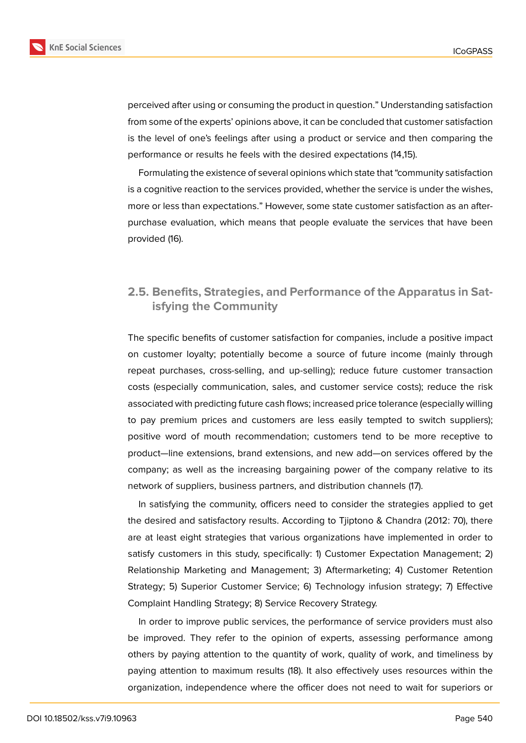

perceived after using or consuming the product in question." Understanding satisfaction from some of the experts' opinions above, it can be concluded that customer satisfaction is the level of one's feelings after using a product or service and then comparing the performance or results he feels with the desired expectations (14,15).

Formulating the existence of several opinions which state that "community satisfaction is a cognitive reaction to the services provided, whether the service is under the wishes, more or less than expectations." However, some state customer satisfaction as an afterpurchase evaluation, which means that people evaluate the services that have been provided (16).

## **2.5. Benefits, Strategies, and Performance of the Apparatus in Satisfying the Community**

The specific benefits of customer satisfaction for companies, include a positive impact on customer loyalty; potentially become a source of future income (mainly through repeat purchases, cross-selling, and up-selling); reduce future customer transaction costs (especially communication, sales, and customer service costs); reduce the risk associated with predicting future cash flows; increased price tolerance (especially willing to pay premium prices and customers are less easily tempted to switch suppliers); positive word of mouth recommendation; customers tend to be more receptive to product—line extensions, brand extensions, and new add—on services offered by the company; as well as the increasing bargaining power of the company relative to its network of suppliers, business partners, and distribution channels (17).

In satisfying the community, officers need to consider the strategies applied to get the desired and satisfactory results. According to Tjiptono & Chandra (2012: 70), there are at least eight strategies that various organizations have implemented in order to satisfy customers in this study, specifically: 1) Customer Expectation Management; 2) Relationship Marketing and Management; 3) Aftermarketing; 4) Customer Retention Strategy; 5) Superior Customer Service; 6) Technology infusion strategy; 7) Effective Complaint Handling Strategy; 8) Service Recovery Strategy.

In order to improve public services, the performance of service providers must also be improved. They refer to the opinion of experts, assessing performance among others by paying attention to the quantity of work, quality of work, and timeliness by paying attention to maximum results (18). It also effectively uses resources within the organization, independence where the officer does not need to wait for superiors or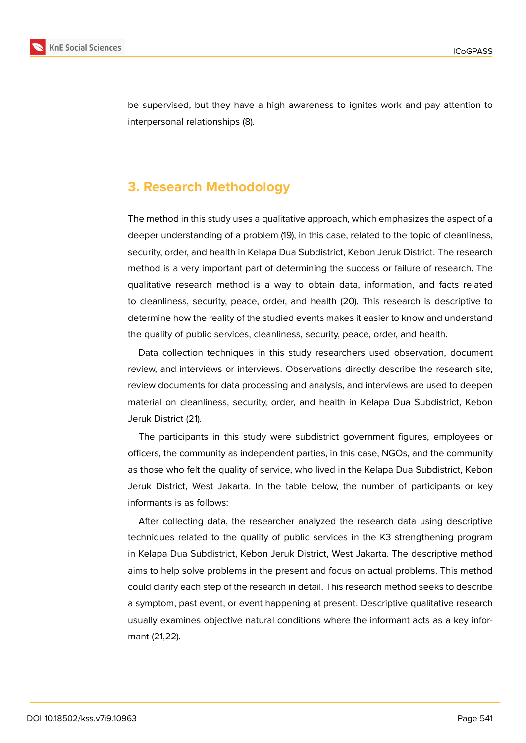

be supervised, but they have a high awareness to ignites work and pay attention to interpersonal relationships (8).

# **3. Research Methodology**

The method in this study uses a qualitative approach, which emphasizes the aspect of a deeper understanding of a problem (19), in this case, related to the topic of cleanliness, security, order, and health in Kelapa Dua Subdistrict, Kebon Jeruk District. The research method is a very important part of determining the success or failure of research. The qualitative research method is a way to obtain data, information, and facts related to cleanliness, security, peace, order, and health (20). This research is descriptive to determine how the reality of the studied events makes it easier to know and understand the quality of public services, cleanliness, security, peace, order, and health.

Data collection techniques in this study researchers used observation, document review, and interviews or interviews. Observations directly describe the research site, review documents for data processing and analysis, and interviews are used to deepen material on cleanliness, security, order, and health in Kelapa Dua Subdistrict, Kebon Jeruk District (21).

The participants in this study were subdistrict government figures, employees or officers, the community as independent parties, in this case, NGOs, and the community as those who felt the quality of service, who lived in the Kelapa Dua Subdistrict, Kebon Jeruk District, West Jakarta. In the table below, the number of participants or key informants is as follows:

After collecting data, the researcher analyzed the research data using descriptive techniques related to the quality of public services in the K3 strengthening program in Kelapa Dua Subdistrict, Kebon Jeruk District, West Jakarta. The descriptive method aims to help solve problems in the present and focus on actual problems. This method could clarify each step of the research in detail. This research method seeks to describe a symptom, past event, or event happening at present. Descriptive qualitative research usually examines objective natural conditions where the informant acts as a key informant (21,22).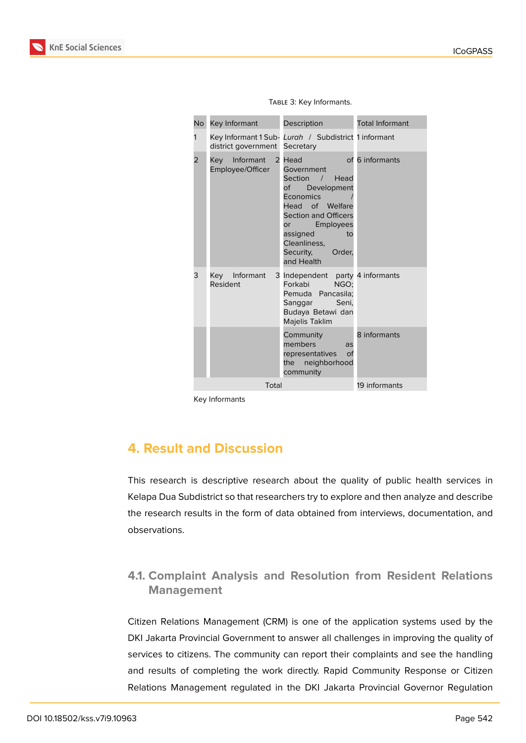**KnE Social Sciences** 

| No | Key Informant                        | Description                                                                                                                                                                                                              | <b>Total Informant</b> |  |
|----|--------------------------------------|--------------------------------------------------------------------------------------------------------------------------------------------------------------------------------------------------------------------------|------------------------|--|
| 1  | district government                  | Key Informant 1 Sub- Lurah / Subdistrict 1 informant<br>Secretary                                                                                                                                                        |                        |  |
| 2  | Key<br>Informant<br>Employee/Officer | 2 Head<br>Government<br>Section / Head<br>of Development<br><b>Economics</b><br>Head of Welfare<br><b>Section and Officers</b><br>Employees<br>or<br>assigned<br>to<br>Cleanliness.<br>Security,<br>Order.<br>and Health | of 6 informants        |  |
| 3  | Key Informant<br>Resident            | 3 Independent party 4 informants<br>NGO:<br>Forkabi<br>Pemuda Pancasila;<br>Sanggar Seni,<br>Budaya Betawi dan<br>Majelis Taklim                                                                                         |                        |  |
|    |                                      | Community<br>members<br>ลร<br>representatives<br>of<br>the neighborhood<br>community                                                                                                                                     | 8 informants           |  |
|    | Total                                | 19 informants                                                                                                                                                                                                            |                        |  |

Table 3: Key Informants.

Key Informants

# **4. Result and Discussion**

This research is descriptive research about the quality of public health services in Kelapa Dua Subdistrict so that researchers try to explore and then analyze and describe the research results in the form of data obtained from interviews, documentation, and observations.

# **4.1. Complaint Analysis and Resolution from Resident Relations Management**

Citizen Relations Management (CRM) is one of the application systems used by the DKI Jakarta Provincial Government to answer all challenges in improving the quality of services to citizens. The community can report their complaints and see the handling and results of completing the work directly. Rapid Community Response or Citizen Relations Management regulated in the DKI Jakarta Provincial Governor Regulation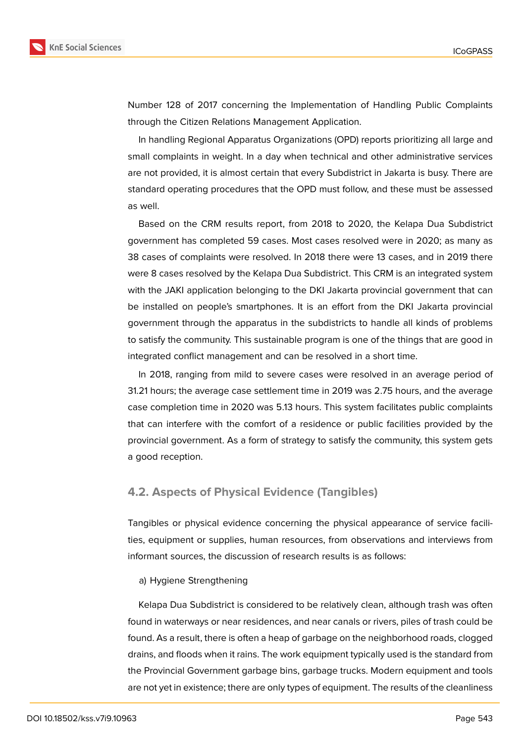

Number 128 of 2017 concerning the Implementation of Handling Public Complaints through the Citizen Relations Management Application.

In handling Regional Apparatus Organizations (OPD) reports prioritizing all large and small complaints in weight. In a day when technical and other administrative services are not provided, it is almost certain that every Subdistrict in Jakarta is busy. There are standard operating procedures that the OPD must follow, and these must be assessed as well.

Based on the CRM results report, from 2018 to 2020, the Kelapa Dua Subdistrict government has completed 59 cases. Most cases resolved were in 2020; as many as 38 cases of complaints were resolved. In 2018 there were 13 cases, and in 2019 there were 8 cases resolved by the Kelapa Dua Subdistrict. This CRM is an integrated system with the JAKI application belonging to the DKI Jakarta provincial government that can be installed on people's smartphones. It is an effort from the DKI Jakarta provincial government through the apparatus in the subdistricts to handle all kinds of problems to satisfy the community. This sustainable program is one of the things that are good in integrated conflict management and can be resolved in a short time.

In 2018, ranging from mild to severe cases were resolved in an average period of 31.21 hours; the average case settlement time in 2019 was 2.75 hours, and the average case completion time in 2020 was 5.13 hours. This system facilitates public complaints that can interfere with the comfort of a residence or public facilities provided by the provincial government. As a form of strategy to satisfy the community, this system gets a good reception.

### **4.2. Aspects of Physical Evidence (Tangibles)**

Tangibles or physical evidence concerning the physical appearance of service facilities, equipment or supplies, human resources, from observations and interviews from informant sources, the discussion of research results is as follows:

#### a) Hygiene Strengthening

Kelapa Dua Subdistrict is considered to be relatively clean, although trash was often found in waterways or near residences, and near canals or rivers, piles of trash could be found. As a result, there is often a heap of garbage on the neighborhood roads, clogged drains, and floods when it rains. The work equipment typically used is the standard from the Provincial Government garbage bins, garbage trucks. Modern equipment and tools are not yet in existence; there are only types of equipment. The results of the cleanliness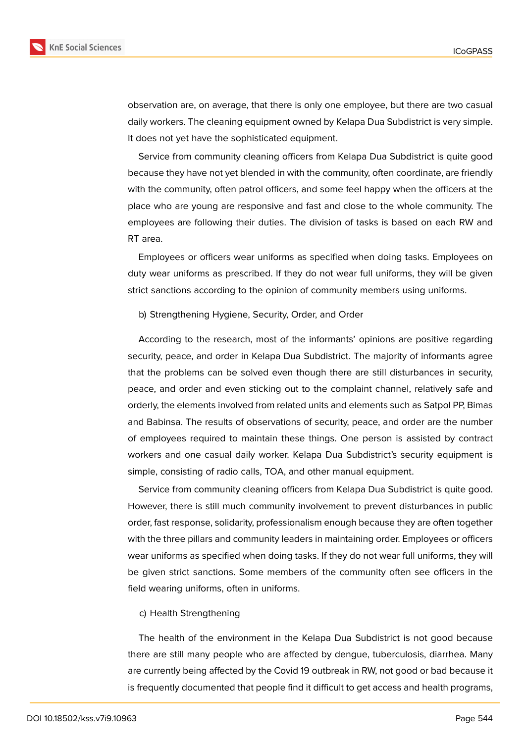

observation are, on average, that there is only one employee, but there are two casual daily workers. The cleaning equipment owned by Kelapa Dua Subdistrict is very simple. It does not yet have the sophisticated equipment.

Service from community cleaning officers from Kelapa Dua Subdistrict is quite good because they have not yet blended in with the community, often coordinate, are friendly with the community, often patrol officers, and some feel happy when the officers at the place who are young are responsive and fast and close to the whole community. The employees are following their duties. The division of tasks is based on each RW and RT area.

Employees or officers wear uniforms as specified when doing tasks. Employees on duty wear uniforms as prescribed. If they do not wear full uniforms, they will be given strict sanctions according to the opinion of community members using uniforms.

#### b) Strengthening Hygiene, Security, Order, and Order

According to the research, most of the informants' opinions are positive regarding security, peace, and order in Kelapa Dua Subdistrict. The majority of informants agree that the problems can be solved even though there are still disturbances in security, peace, and order and even sticking out to the complaint channel, relatively safe and orderly, the elements involved from related units and elements such as Satpol PP, Bimas and Babinsa. The results of observations of security, peace, and order are the number of employees required to maintain these things. One person is assisted by contract workers and one casual daily worker. Kelapa Dua Subdistrict's security equipment is simple, consisting of radio calls, TOA, and other manual equipment.

Service from community cleaning officers from Kelapa Dua Subdistrict is quite good. However, there is still much community involvement to prevent disturbances in public order, fast response, solidarity, professionalism enough because they are often together with the three pillars and community leaders in maintaining order. Employees or officers wear uniforms as specified when doing tasks. If they do not wear full uniforms, they will be given strict sanctions. Some members of the community often see officers in the field wearing uniforms, often in uniforms.

#### c) Health Strengthening

The health of the environment in the Kelapa Dua Subdistrict is not good because there are still many people who are affected by dengue, tuberculosis, diarrhea. Many are currently being affected by the Covid 19 outbreak in RW, not good or bad because it is frequently documented that people find it difficult to get access and health programs,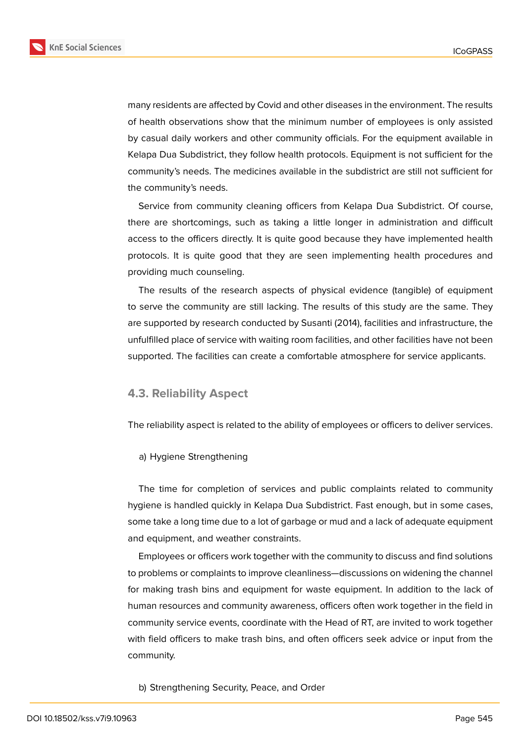

many residents are affected by Covid and other diseases in the environment. The results of health observations show that the minimum number of employees is only assisted by casual daily workers and other community officials. For the equipment available in Kelapa Dua Subdistrict, they follow health protocols. Equipment is not sufficient for the community's needs. The medicines available in the subdistrict are still not sufficient for the community's needs.

Service from community cleaning officers from Kelapa Dua Subdistrict. Of course, there are shortcomings, such as taking a little longer in administration and difficult access to the officers directly. It is quite good because they have implemented health protocols. It is quite good that they are seen implementing health procedures and providing much counseling.

The results of the research aspects of physical evidence (tangible) of equipment to serve the community are still lacking. The results of this study are the same. They are supported by research conducted by Susanti (2014), facilities and infrastructure, the unfulfilled place of service with waiting room facilities, and other facilities have not been supported. The facilities can create a comfortable atmosphere for service applicants.

#### **4.3. Reliability Aspect**

The reliability aspect is related to the ability of employees or officers to deliver services.

a) Hygiene Strengthening

The time for completion of services and public complaints related to community hygiene is handled quickly in Kelapa Dua Subdistrict. Fast enough, but in some cases, some take a long time due to a lot of garbage or mud and a lack of adequate equipment and equipment, and weather constraints.

Employees or officers work together with the community to discuss and find solutions to problems or complaints to improve cleanliness—discussions on widening the channel for making trash bins and equipment for waste equipment. In addition to the lack of human resources and community awareness, officers often work together in the field in community service events, coordinate with the Head of RT, are invited to work together with field officers to make trash bins, and often officers seek advice or input from the community.

b) Strengthening Security, Peace, and Order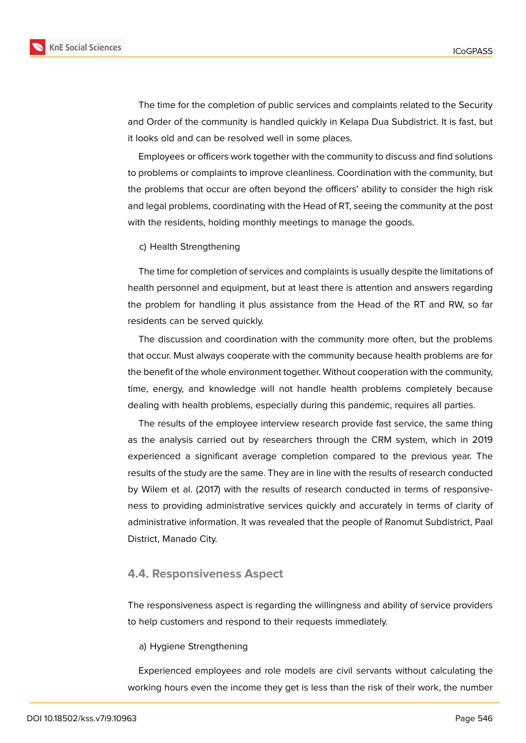

The time for the completion of public services and complaints related to the Security and Order of the community is handled quickly in Kelapa Dua Subdistrict. It is fast, but it looks old and can be resolved well in some places.

Employees or officers work together with the community to discuss and find solutions to problems or complaints to improve cleanliness. Coordination with the community, but the problems that occur are often beyond the officers' ability to consider the high risk and legal problems, coordinating with the Head of RT, seeing the community at the post with the residents, holding monthly meetings to manage the goods.

c) Health Strengthening

The time for completion of services and complaints is usually despite the limitations of health personnel and equipment, but at least there is attention and answers regarding the problem for handling it plus assistance from the Head of the RT and RW, so far residents can be served quickly.

The discussion and coordination with the community more often, but the problems that occur. Must always cooperate with the community because health problems are for the benefit of the whole environment together. Without cooperation with the community, time, energy, and knowledge will not handle health problems completely because dealing with health problems, especially during this pandemic, requires all parties.

The results of the employee interview research provide fast service, the same thing as the analysis carried out by researchers through the CRM system, which in 2019 experienced a significant average completion compared to the previous year. The results of the study are the same. They are in line with the results of research conducted by Wilem et al. (2017) with the results of research conducted in terms of responsiveness to providing administrative services quickly and accurately in terms of clarity of administrative information. It was revealed that the people of Ranomut Subdistrict, Paal District, Manado City.

#### **4.4. Responsiveness Aspect**

The responsiveness aspect is regarding the willingness and ability of service providers to help customers and respond to their requests immediately.

#### a) Hygiene Strengthening

Experienced employees and role models are civil servants without calculating the working hours even the income they get is less than the risk of their work, the number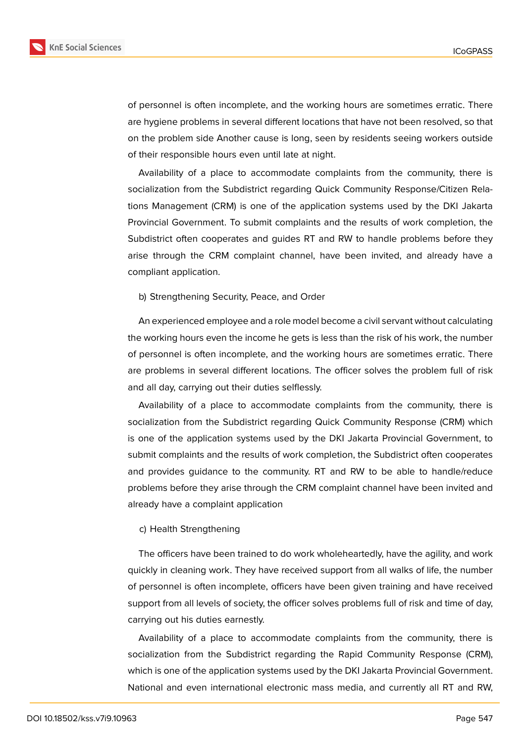

of personnel is often incomplete, and the working hours are sometimes erratic. There are hygiene problems in several different locations that have not been resolved, so that on the problem side Another cause is long, seen by residents seeing workers outside of their responsible hours even until late at night.

Availability of a place to accommodate complaints from the community, there is socialization from the Subdistrict regarding Quick Community Response/Citizen Relations Management (CRM) is one of the application systems used by the DKI Jakarta Provincial Government. To submit complaints and the results of work completion, the Subdistrict often cooperates and guides RT and RW to handle problems before they arise through the CRM complaint channel, have been invited, and already have a compliant application.

b) Strengthening Security, Peace, and Order

An experienced employee and a role model become a civil servant without calculating the working hours even the income he gets is less than the risk of his work, the number of personnel is often incomplete, and the working hours are sometimes erratic. There are problems in several different locations. The officer solves the problem full of risk and all day, carrying out their duties selflessly.

Availability of a place to accommodate complaints from the community, there is socialization from the Subdistrict regarding Quick Community Response (CRM) which is one of the application systems used by the DKI Jakarta Provincial Government, to submit complaints and the results of work completion, the Subdistrict often cooperates and provides guidance to the community. RT and RW to be able to handle/reduce problems before they arise through the CRM complaint channel have been invited and already have a complaint application

#### c) Health Strengthening

The officers have been trained to do work wholeheartedly, have the agility, and work quickly in cleaning work. They have received support from all walks of life, the number of personnel is often incomplete, officers have been given training and have received support from all levels of society, the officer solves problems full of risk and time of day, carrying out his duties earnestly.

Availability of a place to accommodate complaints from the community, there is socialization from the Subdistrict regarding the Rapid Community Response (CRM), which is one of the application systems used by the DKI Jakarta Provincial Government. National and even international electronic mass media, and currently all RT and RW,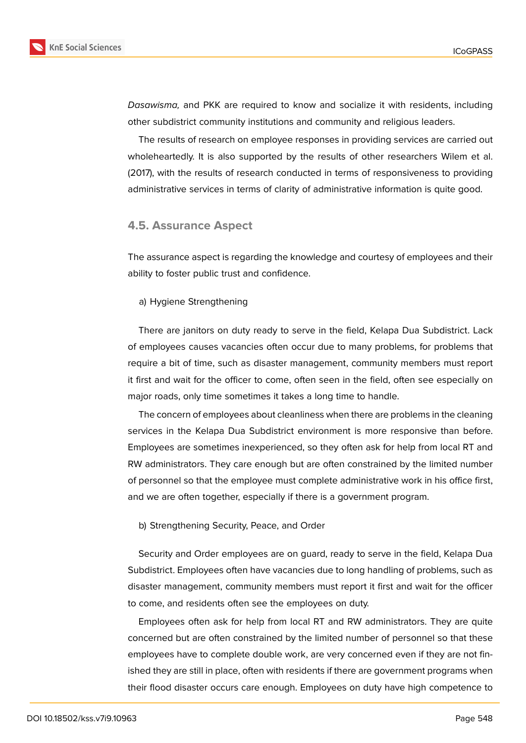

*Dasawisma,* and PKK are required to know and socialize it with residents, including other subdistrict community institutions and community and religious leaders.

The results of research on employee responses in providing services are carried out wholeheartedly. It is also supported by the results of other researchers Wilem et al. (2017), with the results of research conducted in terms of responsiveness to providing administrative services in terms of clarity of administrative information is quite good.

#### **4.5. Assurance Aspect**

The assurance aspect is regarding the knowledge and courtesy of employees and their ability to foster public trust and confidence.

#### a) Hygiene Strengthening

There are janitors on duty ready to serve in the field, Kelapa Dua Subdistrict. Lack of employees causes vacancies often occur due to many problems, for problems that require a bit of time, such as disaster management, community members must report it first and wait for the officer to come, often seen in the field, often see especially on major roads, only time sometimes it takes a long time to handle.

The concern of employees about cleanliness when there are problems in the cleaning services in the Kelapa Dua Subdistrict environment is more responsive than before. Employees are sometimes inexperienced, so they often ask for help from local RT and RW administrators. They care enough but are often constrained by the limited number of personnel so that the employee must complete administrative work in his office first, and we are often together, especially if there is a government program.

b) Strengthening Security, Peace, and Order

Security and Order employees are on guard, ready to serve in the field, Kelapa Dua Subdistrict. Employees often have vacancies due to long handling of problems, such as disaster management, community members must report it first and wait for the officer to come, and residents often see the employees on duty.

Employees often ask for help from local RT and RW administrators. They are quite concerned but are often constrained by the limited number of personnel so that these employees have to complete double work, are very concerned even if they are not finished they are still in place, often with residents if there are government programs when their flood disaster occurs care enough. Employees on duty have high competence to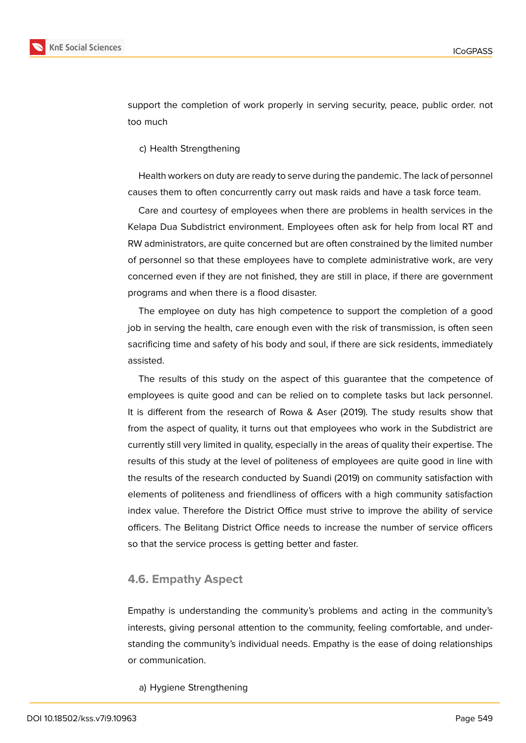



support the completion of work properly in serving security, peace, public order. not too much

c) Health Strengthening

Health workers on duty are ready to serve during the pandemic. The lack of personnel causes them to often concurrently carry out mask raids and have a task force team.

Care and courtesy of employees when there are problems in health services in the Kelapa Dua Subdistrict environment. Employees often ask for help from local RT and RW administrators, are quite concerned but are often constrained by the limited number of personnel so that these employees have to complete administrative work, are very concerned even if they are not finished, they are still in place, if there are government programs and when there is a flood disaster.

The employee on duty has high competence to support the completion of a good job in serving the health, care enough even with the risk of transmission, is often seen sacrificing time and safety of his body and soul, if there are sick residents, immediately assisted.

The results of this study on the aspect of this guarantee that the competence of employees is quite good and can be relied on to complete tasks but lack personnel. It is different from the research of Rowa & Aser (2019). The study results show that from the aspect of quality, it turns out that employees who work in the Subdistrict are currently still very limited in quality, especially in the areas of quality their expertise. The results of this study at the level of politeness of employees are quite good in line with the results of the research conducted by Suandi (2019) on community satisfaction with elements of politeness and friendliness of officers with a high community satisfaction index value. Therefore the District Office must strive to improve the ability of service officers. The Belitang District Office needs to increase the number of service officers so that the service process is getting better and faster.

#### **4.6. Empathy Aspect**

Empathy is understanding the community's problems and acting in the community's interests, giving personal attention to the community, feeling comfortable, and understanding the community's individual needs. Empathy is the ease of doing relationships or communication.

a) Hygiene Strengthening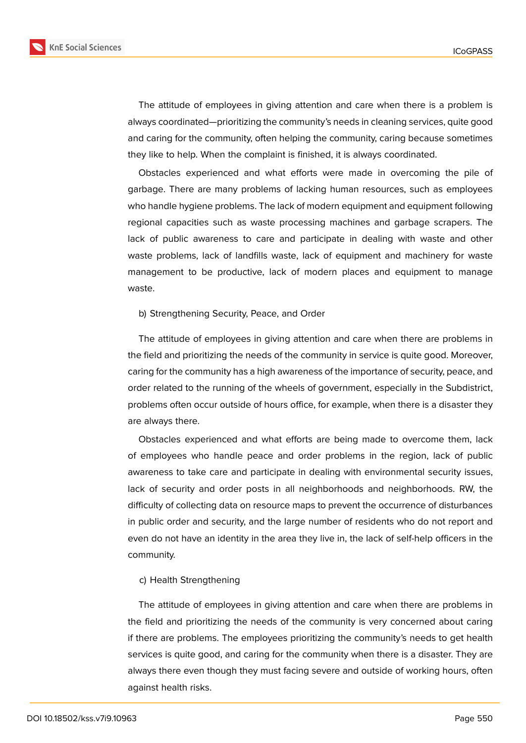

The attitude of employees in giving attention and care when there is a problem is always coordinated—prioritizing the community's needs in cleaning services, quite good and caring for the community, often helping the community, caring because sometimes they like to help. When the complaint is finished, it is always coordinated.

Obstacles experienced and what efforts were made in overcoming the pile of garbage. There are many problems of lacking human resources, such as employees who handle hygiene problems. The lack of modern equipment and equipment following regional capacities such as waste processing machines and garbage scrapers. The lack of public awareness to care and participate in dealing with waste and other waste problems, lack of landfills waste, lack of equipment and machinery for waste management to be productive, lack of modern places and equipment to manage waste.

#### b) Strengthening Security, Peace, and Order

The attitude of employees in giving attention and care when there are problems in the field and prioritizing the needs of the community in service is quite good. Moreover, caring for the community has a high awareness of the importance of security, peace, and order related to the running of the wheels of government, especially in the Subdistrict, problems often occur outside of hours office, for example, when there is a disaster they are always there.

Obstacles experienced and what efforts are being made to overcome them, lack of employees who handle peace and order problems in the region, lack of public awareness to take care and participate in dealing with environmental security issues, lack of security and order posts in all neighborhoods and neighborhoods. RW, the difficulty of collecting data on resource maps to prevent the occurrence of disturbances in public order and security, and the large number of residents who do not report and even do not have an identity in the area they live in, the lack of self-help officers in the community.

#### c) Health Strengthening

The attitude of employees in giving attention and care when there are problems in the field and prioritizing the needs of the community is very concerned about caring if there are problems. The employees prioritizing the community's needs to get health services is quite good, and caring for the community when there is a disaster. They are always there even though they must facing severe and outside of working hours, often against health risks.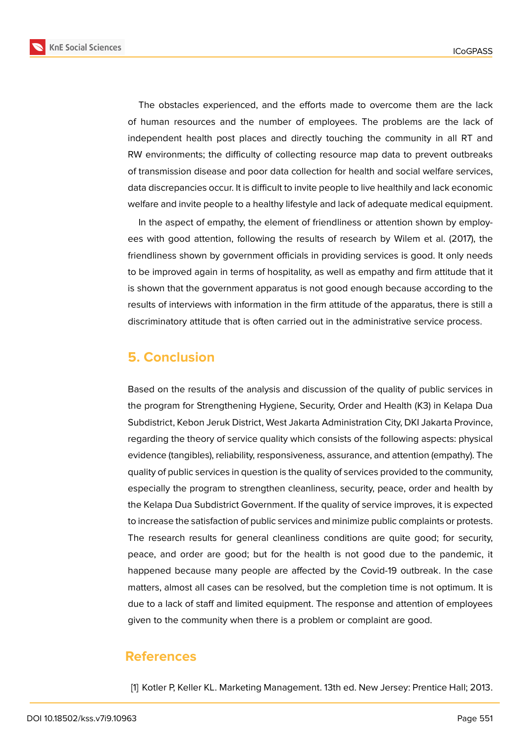**KnE Social Sciences** 



The obstacles experienced, and the efforts made to overcome them are the lack of human resources and the number of employees. The problems are the lack of independent health post places and directly touching the community in all RT and RW environments; the difficulty of collecting resource map data to prevent outbreaks of transmission disease and poor data collection for health and social welfare services, data discrepancies occur. It is difficult to invite people to live healthily and lack economic welfare and invite people to a healthy lifestyle and lack of adequate medical equipment.

In the aspect of empathy, the element of friendliness or attention shown by employees with good attention, following the results of research by Wilem et al. (2017), the friendliness shown by government officials in providing services is good. It only needs to be improved again in terms of hospitality, as well as empathy and firm attitude that it is shown that the government apparatus is not good enough because according to the results of interviews with information in the firm attitude of the apparatus, there is still a discriminatory attitude that is often carried out in the administrative service process.

# **5. Conclusion**

Based on the results of the analysis and discussion of the quality of public services in the program for Strengthening Hygiene, Security, Order and Health (K3) in Kelapa Dua Subdistrict, Kebon Jeruk District, West Jakarta Administration City, DKI Jakarta Province, regarding the theory of service quality which consists of the following aspects: physical evidence (tangibles), reliability, responsiveness, assurance, and attention (empathy). The quality of public services in question is the quality of services provided to the community, especially the program to strengthen cleanliness, security, peace, order and health by the Kelapa Dua Subdistrict Government. If the quality of service improves, it is expected to increase the satisfaction of public services and minimize public complaints or protests. The research results for general cleanliness conditions are quite good; for security, peace, and order are good; but for the health is not good due to the pandemic, it happened because many people are affected by the Covid-19 outbreak. In the case matters, almost all cases can be resolved, but the completion time is not optimum. It is due to a lack of staff and limited equipment. The response and attention of employees given to the community when there is a problem or complaint are good.

## **References**

[1] Kotler P, Keller KL. Marketing Management. 13th ed. New Jersey: Prentice Hall; 2013.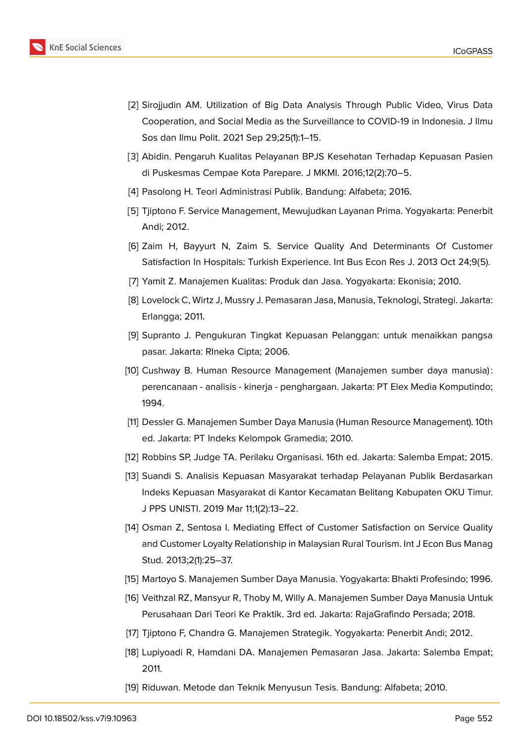

- [2] Sirojjudin AM. Utilization of Big Data Analysis Through Public Video, Virus Data Cooperation, and Social Media as the Surveillance to COVID-19 in Indonesia. J Ilmu Sos dan Ilmu Polit. 2021 Sep 29;25(1):1–15.
- [3] Abidin. Pengaruh Kualitas Pelayanan BPJS Kesehatan Terhadap Kepuasan Pasien di Puskesmas Cempae Kota Parepare. J MKMI. 2016;12(2):70–5.
- [4] Pasolong H. Teori Administrasi Publik. Bandung: Alfabeta; 2016.
- [5] Tjiptono F. Service Management, Mewujudkan Layanan Prima. Yogyakarta: Penerbit Andi; 2012.
- [6] Zaim H, Bayyurt N, Zaim S. Service Quality And Determinants Of Customer Satisfaction In Hospitals: Turkish Experience. Int Bus Econ Res J. 2013 Oct 24;9(5).
- [7] Yamit Z. Manajemen Kualitas: Produk dan Jasa. Yogyakarta: Ekonisia; 2010.
- [8] Lovelock C, Wirtz J, Mussry J. Pemasaran Jasa, Manusia, Teknologi, Strategi. Jakarta: Erlangga; 2011.
- [9] Supranto J. Pengukuran Tingkat Kepuasan Pelanggan: untuk menaikkan pangsa pasar. Jakarta: RIneka Cipta; 2006.
- [10] Cushway B. Human Resource Management (Manajemen sumber daya manusia) : perencanaan - analisis - kinerja - penghargaan. Jakarta: PT Elex Media Komputindo; 1994.
- [11] Dessler G. Manajemen Sumber Daya Manusia (Human Resource Management). 10th ed. Jakarta: PT Indeks Kelompok Gramedia; 2010.
- [12] Robbins SP, Judge TA. Perilaku Organisasi. 16th ed. Jakarta: Salemba Empat; 2015.
- [13] Suandi S. Analisis Kepuasan Masyarakat terhadap Pelayanan Publik Berdasarkan Indeks Kepuasan Masyarakat di Kantor Kecamatan Belitang Kabupaten OKU Timur. J PPS UNISTI. 2019 Mar 11;1(2):13–22.
- [14] Osman Z, Sentosa I. Mediating Effect of Customer Satisfaction on Service Quality and Customer Loyalty Relationship in Malaysian Rural Tourism. Int J Econ Bus Manag Stud. 2013;2(1):25–37.
- [15] Martoyo S. Manajemen Sumber Daya Manusia. Yogyakarta: Bhakti Profesindo; 1996.
- [16] Veithzal RZ, Mansyur R, Thoby M, Willy A. Manajemen Sumber Daya Manusia Untuk Perusahaan Dari Teori Ke Praktik. 3rd ed. Jakarta: RajaGrafindo Persada; 2018.
- [17] Tjiptono F, Chandra G. Manajemen Strategik. Yogyakarta: Penerbit Andi; 2012.
- [18] Lupiyoadi R, Hamdani DA. Manajemen Pemasaran Jasa. Jakarta: Salemba Empat; 2011.
- [19] Riduwan. Metode dan Teknik Menyusun Tesis. Bandung: Alfabeta; 2010.